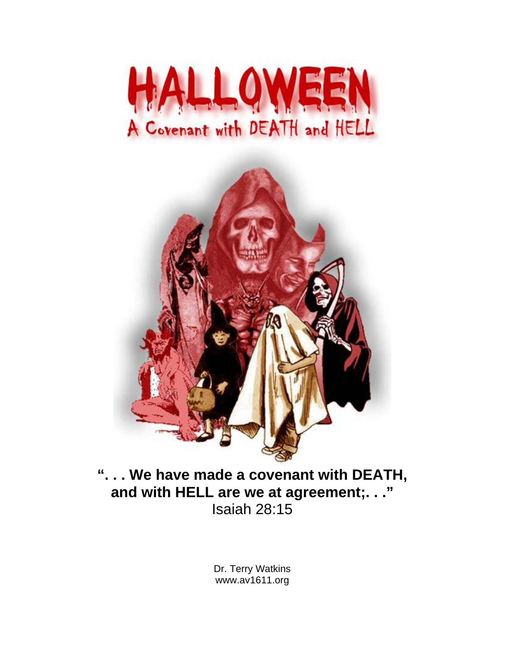



**". . . We have made a covenant with DEATH, and with HELL are we at agreement;. . ."** Isaiah 28:15

> Dr. Terry Watkins www.av1611.org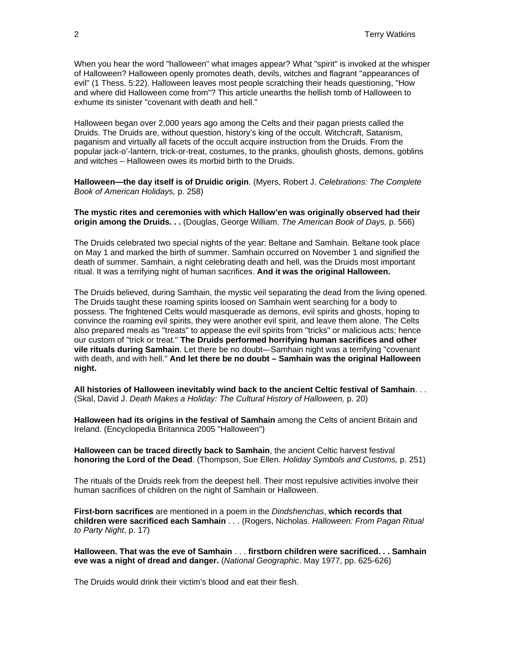When you hear the word "halloween" what images appear? What "spirit" is invoked at the whisper of Halloween? Halloween openly promotes death, devils, witches and flagrant "appearances of evil" (1 Thess. 5:22). Halloween leaves most people scratching their heads questioning, "How and where did Halloween come from"? This article unearths the hellish tomb of Halloween to exhume its sinister "covenant with death and hell."

Halloween began over 2,000 years ago among the Celts and their pagan priests called the Druids. The Druids are, without question, history's king of the occult. Witchcraft, Satanism, paganism and virtually all facets of the occult acquire instruction from the Druids. From the popular jack-o'-lantern, trick-or-treat, costumes, to the pranks, ghoulish ghosts, demons, goblins and witches – Halloween owes its morbid birth to the Druids.

**Halloween—the day itself is of Druidic origin**. (Myers, Robert J. *Celebrations: The Complete Book of American Holidays,* p. 258)

**The mystic rites and ceremonies with which Hallow'en was originally observed had their origin among the Druids. . .** (Douglas, George William. *The American Book of Days,* p. 566)

The Druids celebrated two special nights of the year: Beltane and Samhain. Beltane took place on May 1 and marked the birth of summer. Samhain occurred on November 1 and signified the death of summer. Samhain, a night celebrating death and hell, was the Druids most important ritual. It was a terrifying night of human sacrifices. **And it was the original Halloween.**

The Druids believed, during Samhain, the mystic veil separating the dead from the living opened. The Druids taught these roaming spirits loosed on Samhain went searching for a body to possess. The frightened Celts would masquerade as demons, evil spirits and ghosts, hoping to convince the roaming evil spirits, they were another evil spirit, and leave them alone. The Celts also prepared meals as "treats" to appease the evil spirits from "tricks" or malicious acts; hence our custom of "trick or treat." **The Druids performed horrifying human sacrifices and other vile rituals during Samhain**. Let there be no doubt—Samhain night was a terrifying "covenant with death, and with hell." **And let there be no doubt – Samhain was the original Halloween night.** 

**All histories of Halloween inevitably wind back to the ancient Celtic festival of Samhain**. . . (Skal, David J. *Death Makes a Holiday: The Cultural History of Halloween,* p. 20)

**Halloween had its origins in the festival of Samhain** among the Celts of ancient Britain and Ireland. (Encyclopedia Britannica 2005 "Halloween")

**Halloween can be traced directly back to Samhain**, the ancient Celtic harvest festival **honoring the Lord of the Dead**. (Thompson, Sue Ellen. *Holiday Symbols and Customs,* p. 251)

The rituals of the Druids reek from the deepest hell. Their most repulsive activities involve their human sacrifices of children on the night of Samhain or Halloween.

**First-born sacrifices** are mentioned in a poem in the *Dindshenchas*, **which records that children were sacrificed each Samhain** . . . (Rogers, Nicholas. *Halloween: From Pagan Ritual to Party Night*, p. 17)

**Halloween. That was the eve of Samhain** . . . **firstborn children were sacrificed. . . Samhain eve was a night of dread and danger.** (*National Geographic*. May 1977, pp. 625-626)

The Druids would drink their victim's blood and eat their flesh.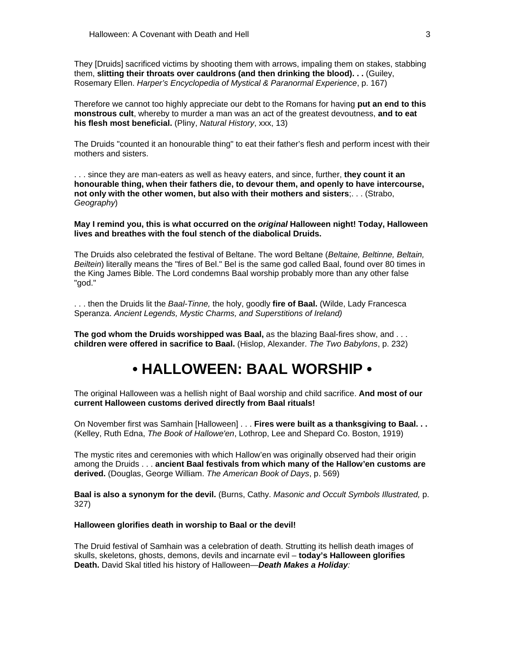They [Druids] sacrificed victims by shooting them with arrows, impaling them on stakes, stabbing them, **slitting their throats over cauldrons (and then drinking the blood). . .** (Guiley, Rosemary Ellen. *Harper's Encyclopedia of Mystical & Paranormal Experience*, p. 167)

Therefore we cannot too highly appreciate our debt to the Romans for having **put an end to this monstrous cult**, whereby to murder a man was an act of the greatest devoutness, **and to eat his flesh most beneficial.** (Pliny, *Natural History*, xxx, 13)

The Druids "counted it an honourable thing" to eat their father's flesh and perform incest with their mothers and sisters.

. . . since they are man-eaters as well as heavy eaters, and since, further, **they count it an honourable thing, when their fathers die, to devour them, and openly to have intercourse, not only with the other women, but also with their mothers and sisters**;. . . (Strabo, *Geography*)

**May I remind you, this is what occurred on the** *original* **Halloween night! Today, Halloween lives and breathes with the foul stench of the diabolical Druids.** 

The Druids also celebrated the festival of Beltane. The word Beltane (*Beltaine, Beltinne, Beltain, Beiltein*) literally means the "fires of Bel." Bel is the same god called Baal, found over 80 times in the King James Bible. The Lord condemns Baal worship probably more than any other false "god."

. . . then the Druids lit the *Baal-Tinne,* the holy, goodly **fire of Baal.** (Wilde, Lady Francesca Speranza. *Ancient Legends, Mystic Charms, and Superstitions of Ireland)*

**The god whom the Druids worshipped was Baal,** as the blazing Baal-fires show, and . . . **children were offered in sacrifice to Baal.** (Hislop, Alexander. *The Two Babylons*, p. 232)

## **• HALLOWEEN: BAAL WORSHIP •**

The original Halloween was a hellish night of Baal worship and child sacrifice. **And most of our current Halloween customs derived directly from Baal rituals!** 

On November first was Samhain [Halloween] . . . **Fires were built as a thanksgiving to Baal. . .**  (Kelley, Ruth Edna, *The Book of Hallowe'en*, Lothrop, Lee and Shepard Co. Boston, 1919)

The mystic rites and ceremonies with which Hallow'en was originally observed had their origin among the Druids . . . **ancient Baal festivals from which many of the Hallow'en customs are derived.** (Douglas, George William. *The American Book of Days*, p. 569)

**Baal is also a synonym for the devil.** (Burns, Cathy. *Masonic and Occult Symbols Illustrated,* p. 327)

#### **Halloween glorifies death in worship to Baal or the devil!**

The Druid festival of Samhain was a celebration of death. Strutting its hellish death images of skulls, skeletons, ghosts, demons, devils and incarnate evil – **today's Halloween glorifies Death.** David Skal titled his history of Halloween—*Death Makes a Holiday:*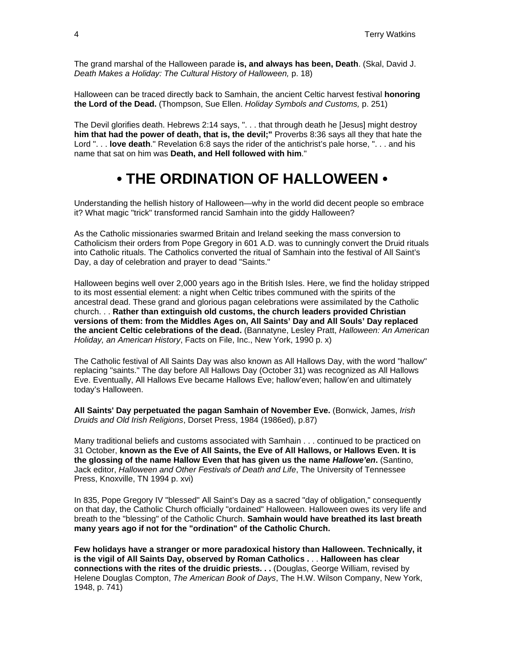The grand marshal of the Halloween parade **is, and always has been, Death**. (Skal, David J. *Death Makes a Holiday: The Cultural History of Halloween,* p. 18)

Halloween can be traced directly back to Samhain, the ancient Celtic harvest festival **honoring the Lord of the Dead.** (Thompson, Sue Ellen. *Holiday Symbols and Customs,* p. 251)

The Devil glorifies death. Hebrews 2:14 says, ". . . that through death he [Jesus] might destroy **him that had the power of death, that is, the devil;"** Proverbs 8:36 says all they that hate the Lord ". . . **love death**." Revelation 6:8 says the rider of the antichrist's pale horse, ". . . and his name that sat on him was **Death, and Hell followed with him**."

## **• THE ORDINATION OF HALLOWEEN •**

Understanding the hellish history of Halloween—why in the world did decent people so embrace it? What magic "trick" transformed rancid Samhain into the giddy Halloween?

As the Catholic missionaries swarmed Britain and Ireland seeking the mass conversion to Catholicism their orders from Pope Gregory in 601 A.D. was to cunningly convert the Druid rituals into Catholic rituals. The Catholics converted the ritual of Samhain into the festival of All Saint's Day, a day of celebration and prayer to dead "Saints."

Halloween begins well over 2,000 years ago in the British Isles. Here, we find the holiday stripped to its most essential element: a night when Celtic tribes communed with the spirits of the ancestral dead. These grand and glorious pagan celebrations were assimilated by the Catholic church. . . **Rather than extinguish old customs, the church leaders provided Christian versions of them: from the Middles Ages on, All Saints' Day and All Souls' Day replaced the ancient Celtic celebrations of the dead.** (Bannatyne, Lesley Pratt, *Halloween: An American Holiday, an American History*, Facts on File, Inc., New York, 1990 p. x)

The Catholic festival of All Saints Day was also known as All Hallows Day, with the word "hallow" replacing "saints." The day before All Hallows Day (October 31) was recognized as All Hallows Eve. Eventually, All Hallows Eve became Hallows Eve; hallow'even; hallow'en and ultimately today's Halloween.

**All Saints' Day perpetuated the pagan Samhain of November Eve.** (Bonwick, James, *Irish Druids and Old Irish Religions*, Dorset Press, 1984 (1986ed), p.87)

Many traditional beliefs and customs associated with Samhain . . . continued to be practiced on 31 October, **known as the Eve of All Saints, the Eve of All Hallows, or Hallows Even. It is the glossing of the name Hallow Even that has given us the name** *Hallowe'en***.** (Santino, Jack editor, *Halloween and Other Festivals of Death and Life*, The University of Tennessee Press, Knoxville, TN 1994 p. xvi)

In 835, Pope Gregory IV "blessed" All Saint's Day as a sacred "day of obligation," consequently on that day, the Catholic Church officially "ordained" Halloween. Halloween owes its very life and breath to the "blessing" of the Catholic Church. **Samhain would have breathed its last breath many years ago if not for the "ordination" of the Catholic Church.** 

**Few holidays have a stranger or more paradoxical history than Halloween. Technically, it is the vigil of All Saints Day, observed by Roman Catholics .** . . **Halloween has clear connections with the rites of the druidic priests. . .** (Douglas, George William, revised by Helene Douglas Compton, *The American Book of Days*, The H.W. Wilson Company, New York, 1948, p. 741)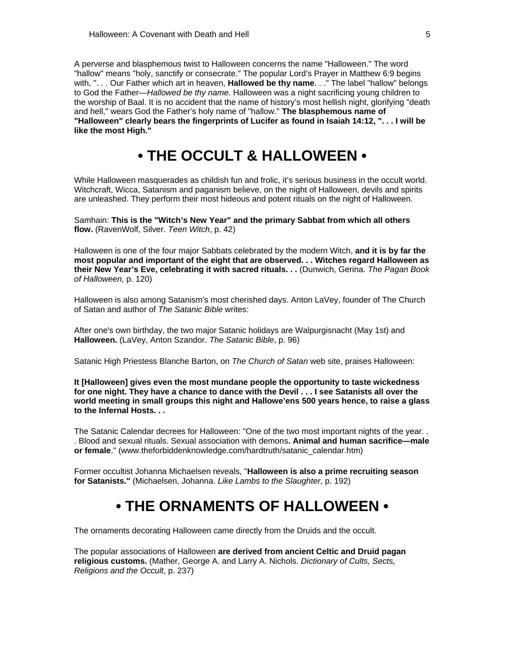A perverse and blasphemous twist to Halloween concerns the name "Halloween." The word "hallow" means "holy, sanctify or consecrate." The popular Lord's Prayer in Matthew 6:9 begins with, ". . . Our Father which art in heaven, **Hallowed be thy name**. . ." The label "hallow" belongs to God the Father—*Hallowed be thy name*. Halloween was a night sacrificing young children to the worship of Baal. It is no accident that the name of history's most hellish night, glorifying "death and hell," wears God the Father's holy name of "hallow." **The blasphemous name of "Halloween" clearly bears the fingerprints of Lucifer as found in Isaiah 14:12, ". . . I will be like the most High."** 

## **• THE OCCULT & HALLOWEEN •**

While Halloween masquerades as childish fun and frolic, it's serious business in the occult world. Witchcraft, Wicca, Satanism and paganism believe, on the night of Halloween, devils and spirits are unleashed. They perform their most hideous and potent rituals on the night of Halloween.

Samhain: **This is the "Witch's New Year" and the primary Sabbat from which all others flow.** (RavenWolf, Silver. *Teen Witch*, p. 42)

Halloween is one of the four major Sabbats celebrated by the modern Witch, **and it is by far the most popular and important of the eight that are observed. . . Witches regard Halloween as their New Year's Eve, celebrating it with sacred rituals. . .** (Dunwich, Gerina. *The Pagan Book of Halloween,* p. 120)

Halloween is also among Satanism's most cherished days. Anton LaVey, founder of The Church of Satan and author of *The Satanic Bible* writes:

After one's own birthday, the two major Satanic holidays are Walpurgisnacht (May 1st) and **Halloween.** (LaVey, Anton Szandor. *The Satanic Bible*, p. 96)

Satanic High Priestess Blanche Barton, on *The Church of Satan* web site, praises Halloween:

**It [Halloween] gives even the most mundane people the opportunity to taste wickedness for one night. They have a chance to dance with the Devil . . . I see Satanists all over the world meeting in small groups this night and Hallowe'ens 500 years hence, to raise a glass to the Infernal Hosts. . .**

The Satanic Calendar decrees for Halloween: "One of the two most important nights of the year. . . Blood and sexual rituals. Sexual association with demons**. Animal and human sacrifice—male or female**." (www.theforbiddenknowledge.com/hardtruth/satanic\_calendar.htm)

Former occultist Johanna Michaelsen reveals, "**Halloween is also a prime recruiting season for Satanists."** (Michaelsen, Johanna. *Like Lambs to the Slaughter*, p. 192)

## **• THE ORNAMENTS OF HALLOWEEN •**

The ornaments decorating Halloween came directly from the Druids and the occult.

The popular associations of Halloween **are derived from ancient Celtic and Druid pagan religious customs.** (Mather, George A. and Larry A. Nichols. *Dictionary of Cults, Sects, Religions and the Occult*, p. 237)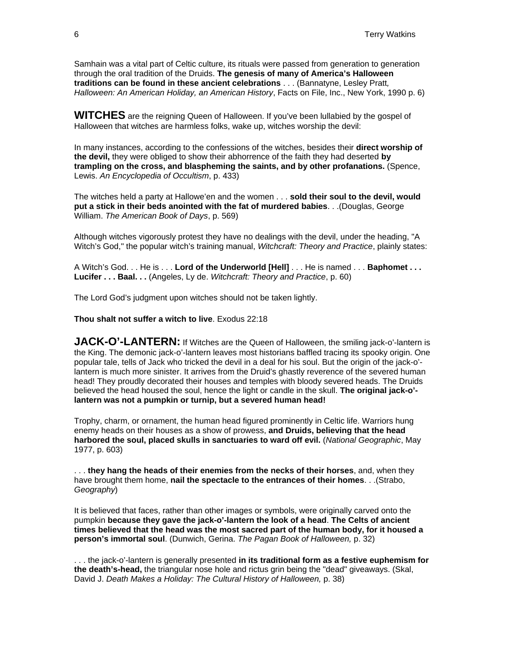Samhain was a vital part of Celtic culture, its rituals were passed from generation to generation through the oral tradition of the Druids. **The genesis of many of America's Halloween traditions can be found in these ancient celebrations** . . . (Bannatyne, Lesley Pratt*, Halloween: An American Holiday, an American History*, Facts on File, Inc., New York, 1990 p. 6)

**WITCHES** are the reigning Queen of Halloween. If you've been lullabied by the gospel of Halloween that witches are harmless folks, wake up, witches worship the devil:

In many instances, according to the confessions of the witches, besides their **direct worship of the devil,** they were obliged to show their abhorrence of the faith they had deserted **by trampling on the cross, and blaspheming the saints, and by other profanations.** (Spence, Lewis. *An Encyclopedia of Occultism*, p. 433)

The witches held a party at Hallowe'en and the women . . . **sold their soul to the devil, would put a stick in their beds anointed with the fat of murdered babies**. . .(Douglas, George William. *The American Book of Days*, p. 569)

Although witches vigorously protest they have no dealings with the devil, under the heading, "A Witch's God," the popular witch's training manual, *Witchcraft: Theory and Practice*, plainly states:

A Witch's God. . . He is . . . **Lord of the Underworld [Hell]** . . . He is named . . . **Baphomet . . . Lucifer . . . Baal. . .** (Angeles, Ly de. *Witchcraft: Theory and Practice*, p. 60)

The Lord God's judgment upon witches should not be taken lightly.

**Thou shalt not suffer a witch to live**. Exodus 22:18

**JACK-O'-LANTERN:** If Witches are the Queen of Halloween, the smiling jack-o'-lantern is the King. The demonic jack-o'-lantern leaves most historians baffled tracing its spooky origin. One popular tale, tells of Jack who tricked the devil in a deal for his soul. But the origin of the jack-o' lantern is much more sinister. It arrives from the Druid's ghastly reverence of the severed human head! They proudly decorated their houses and temples with bloody severed heads. The Druids believed the head housed the soul, hence the light or candle in the skull. **The original jack-o' lantern was not a pumpkin or turnip, but a severed human head!** 

Trophy, charm, or ornament, the human head figured prominently in Celtic life. Warriors hung enemy heads on their houses as a show of prowess, **and Druids, believing that the head harbored the soul, placed skulls in sanctuaries to ward off evil.** (*National Geographic*, May 1977, p. 603)

. . . **they hang the heads of their enemies from the necks of their horses**, and, when they have brought them home, **nail the spectacle to the entrances of their homes**. . .(Strabo, *Geography*)

It is believed that faces, rather than other images or symbols, were originally carved onto the pumpkin **because they gave the jack-o'-lantern the look of a head**. **The Celts of ancient times believed that the head was the most sacred part of the human body, for it housed a person's immortal soul**. (Dunwich, Gerina. *The Pagan Book of Halloween,* p. 32)

. . . the jack-o'-lantern is generally presented **in its traditional form as a festive euphemism for the death's-head,** the triangular nose hole and rictus grin being the "dead" giveaways. (Skal, David J. *Death Makes a Holiday: The Cultural History of Halloween,* p. 38)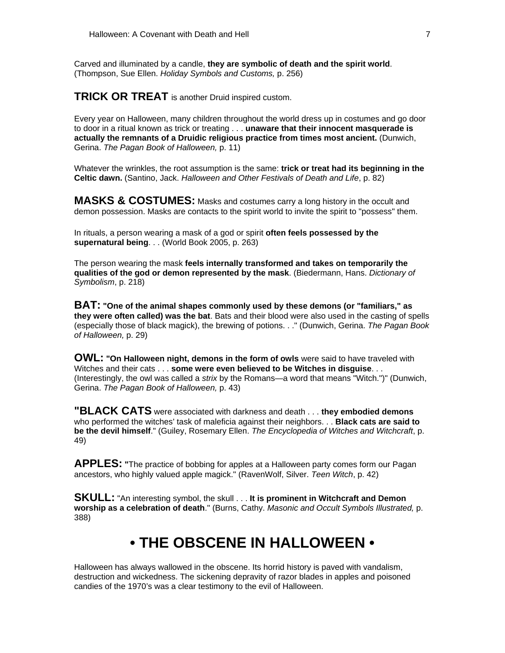Carved and illuminated by a candle, **they are symbolic of death and the spirit world**. (Thompson, Sue Ellen. *Holiday Symbols and Customs,* p. 256)

**TRICK OR TREAT** is another Druid inspired custom.

Every year on Halloween, many children throughout the world dress up in costumes and go door to door in a ritual known as trick or treating . . . **unaware that their innocent masquerade is actually the remnants of a Druidic religious practice from times most ancient.** (Dunwich, Gerina. *The Pagan Book of Halloween,* p. 11)

Whatever the wrinkles, the root assumption is the same: **trick or treat had its beginning in the Celtic dawn.** (Santino, Jack. *Halloween and Other Festivals of Death and Life*, p. 82)

**MASKS & COSTUMES:** Masks and costumes carry a long history in the occult and demon possession. Masks are contacts to the spirit world to invite the spirit to "possess" them.

In rituals, a person wearing a mask of a god or spirit **often feels possessed by the supernatural being**. . . (World Book 2005, p. 263)

The person wearing the mask **feels internally transformed and takes on temporarily the qualities of the god or demon represented by the mask**. (Biedermann, Hans. *Dictionary of Symbolism*, p. 218)

**BAT: "One of the animal shapes commonly used by these demons (or "familiars," as they were often called) was the bat**. Bats and their blood were also used in the casting of spells (especially those of black magick), the brewing of potions. . ." (Dunwich, Gerina. *The Pagan Book of Halloween,* p. 29)

**OWL:** "On Halloween night, demons in the form of owls were said to have traveled with Witches and their cats . . . **some were even believed to be Witches in disguise**. . . (Interestingly, the owl was called a *strix* by the Romans—a word that means "Witch.")" (Dunwich, Gerina. *The Pagan Book of Halloween,* p. 43)

**"BLACK CATS** were associated with darkness and death . . . **they embodied demons** who performed the witches' task of maleficia against their neighbors. . . **Black cats are said to be the devil himself**." (Guiley, Rosemary Ellen. *The Encyclopedia of Witches and Witchcraft*, p. 49)

**APPLES:** "The practice of bobbing for apples at a Halloween party comes form our Pagan ancestors, who highly valued apple magick." (RavenWolf, Silver. *Teen Witch*, p. 42)

**SKULL:** "An interesting symbol, the skull . . . It is prominent in Witchcraft and Demon **worship as a celebration of death**." (Burns, Cathy. *Masonic and Occult Symbols Illustrated,* p. 388)

## **• THE OBSCENE IN HALLOWEEN •**

Halloween has always wallowed in the obscene. Its horrid history is paved with vandalism, destruction and wickedness. The sickening depravity of razor blades in apples and poisoned candies of the 1970's was a clear testimony to the evil of Halloween.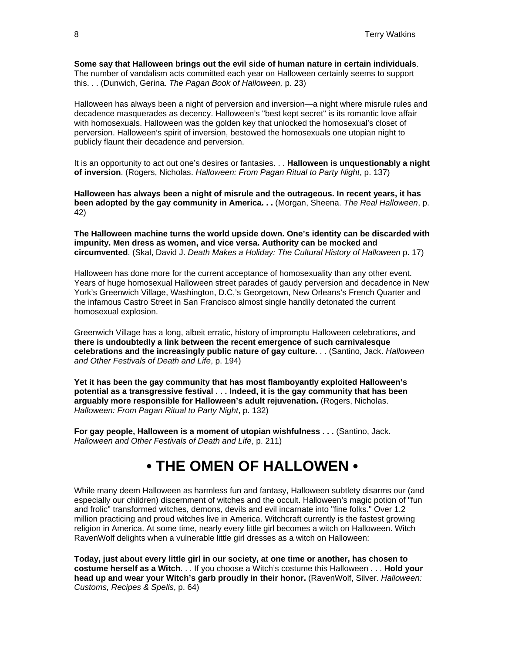**Some say that Halloween brings out the evil side of human nature in certain individuals**. The number of vandalism acts committed each year on Halloween certainly seems to support this. . . (Dunwich, Gerina. *The Pagan Book of Halloween,* p. 23)

Halloween has always been a night of perversion and inversion—a night where misrule rules and decadence masquerades as decency. Halloween's "best kept secret" is its romantic love affair with homosexuals. Halloween was the golden key that unlocked the homosexual's closet of perversion. Halloween's spirit of inversion, bestowed the homosexuals one utopian night to publicly flaunt their decadence and perversion.

It is an opportunity to act out one's desires or fantasies. . . **Halloween is unquestionably a night of inversion**. (Rogers, Nicholas. *Halloween: From Pagan Ritual to Party Night*, p. 137)

**Halloween has always been a night of misrule and the outrageous. In recent years, it has been adopted by the gay community in America. . .** (Morgan, Sheena. *The Real Halloween*, p. 42)

**The Halloween machine turns the world upside down. One's identity can be discarded with impunity. Men dress as women, and vice versa. Authority can be mocked and circumvented**. (Skal, David J. *Death Makes a Holiday: The Cultural History of Halloween* p. 17)

Halloween has done more for the current acceptance of homosexuality than any other event. Years of huge homosexual Halloween street parades of gaudy perversion and decadence in New York's Greenwich Village, Washington, D.C,'s Georgetown, New Orleans's French Quarter and the infamous Castro Street in San Francisco almost single handily detonated the current homosexual explosion.

Greenwich Village has a long, albeit erratic, history of impromptu Halloween celebrations, and **there is undoubtedly a link between the recent emergence of such carnivalesque celebrations and the increasingly public nature of gay culture.** . . (Santino, Jack. *Halloween and Other Festivals of Death and Life*, p. 194)

**Yet it has been the gay community that has most flamboyantly exploited Halloween's potential as a transgressive festival . . . Indeed, it is the gay community that has been arguably more responsible for Halloween's adult rejuvenation.** (Rogers, Nicholas. *Halloween: From Pagan Ritual to Party Night*, p. 132)

**For gay people, Halloween is a moment of utopian wishfulness . . .** (Santino, Jack. *Halloween and Other Festivals of Death and Life*, p. 211)

## **• THE OMEN OF HALLOWEN •**

While many deem Halloween as harmless fun and fantasy, Halloween subtlety disarms our (and especially our children) discernment of witches and the occult. Halloween's magic potion of "fun and frolic" transformed witches, demons, devils and evil incarnate into "fine folks." Over 1.2 million practicing and proud witches live in America. Witchcraft currently is the fastest growing religion in America. At some time, nearly every little girl becomes a witch on Halloween. Witch RavenWolf delights when a vulnerable little girl dresses as a witch on Halloween:

**Today, just about every little girl in our society, at one time or another, has chosen to costume herself as a Witch**. . . If you choose a Witch's costume this Halloween . . . **Hold your head up and wear your Witch's garb proudly in their honor.** (RavenWolf, Silver. *Halloween: Customs, Recipes & Spells*, p. 64)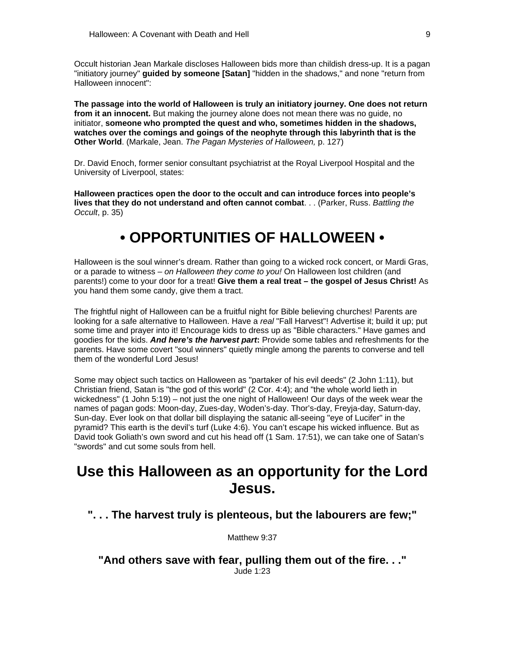Occult historian Jean Markale discloses Halloween bids more than childish dress-up. It is a pagan "initiatory journey" **guided by someone [Satan]** "hidden in the shadows," and none "return from Halloween innocent":

**The passage into the world of Halloween is truly an initiatory journey. One does not return from it an innocent.** But making the journey alone does not mean there was no guide, no initiator, **someone who prompted the quest and who, sometimes hidden in the shadows, watches over the comings and goings of the neophyte through this labyrinth that is the Other World**. (Markale, Jean. *The Pagan Mysteries of Halloween,* p. 127)

Dr. David Enoch, former senior consultant psychiatrist at the Royal Liverpool Hospital and the University of Liverpool, states:

**Halloween practices open the door to the occult and can introduce forces into people's lives that they do not understand and often cannot combat**. . . (Parker, Russ. *Battling the Occult*, p. 35)

## **• OPPORTUNITIES OF HALLOWEEN •**

Halloween is the soul winner's dream. Rather than going to a wicked rock concert, or Mardi Gras, or a parade to witness *– on Halloween they come to you!* On Halloween lost children (and parents!) come to your door for a treat! **Give them a real treat – the gospel of Jesus Christ!** As you hand them some candy, give them a tract.

The frightful night of Halloween can be a fruitful night for Bible believing churches! Parents are looking for a safe alternative to Halloween. Have a *real* "Fall Harvest"! Advertise it; build it up; put some time and prayer into it! Encourage kids to dress up as "Bible characters." Have games and goodies for the kids. *And here's the harvest part***:** Provide some tables and refreshments for the parents. Have some covert "soul winners" quietly mingle among the parents to converse and tell them of the wonderful Lord Jesus!

Some may object such tactics on Halloween as "partaker of his evil deeds" (2 John 1:11), but Christian friend, Satan is "the god of this world" (2 Cor. 4:4); and "the whole world lieth in wickedness" (1 John 5:19) – not just the one night of Halloween! Our days of the week wear the names of pagan gods: Moon-day, Zues-day, Woden's-day. Thor's-day, Freyja-day, Saturn-day, Sun-day. Ever look on that dollar bill displaying the satanic all-seeing "eye of Lucifer" in the pyramid? This earth is the devil's turf (Luke 4:6). You can't escape his wicked influence. But as David took Goliath's own sword and cut his head off (1 Sam. 17:51), we can take one of Satan's "swords" and cut some souls from hell.

## **Use this Halloween as an opportunity for the Lord Jesus.**

**". . . The harvest truly is plenteous, but the labourers are few;"**

Matthew 9:37

**"And others save with fear, pulling them out of the fire. . ."** Jude 1:23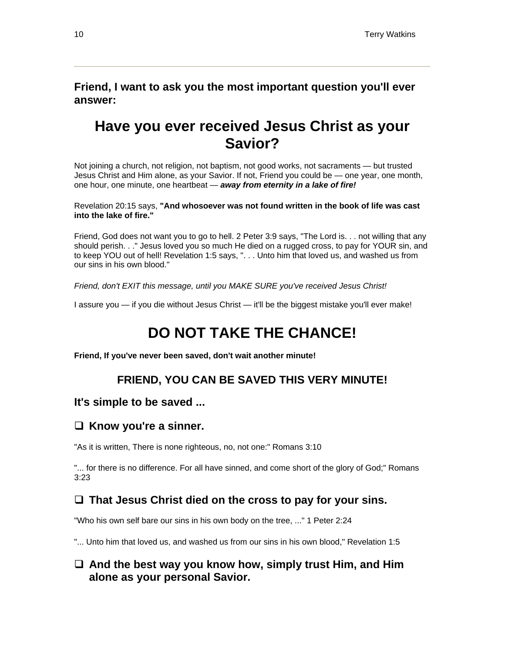#### **Friend, I want to ask you the most important question you'll ever answer:**

## **Have you ever received Jesus Christ as your Savior?**

Not joining a church, not religion, not baptism, not good works, not sacraments — but trusted Jesus Christ and Him alone, as your Savior. If not, Friend you could be — one year, one month, one hour, one minute, one heartbeat — *away from eternity in a lake of fire!*

Revelation 20:15 says, **"And whosoever was not found written in the book of life was cast into the lake of fire."**

Friend, God does not want you to go to hell. 2 Peter 3:9 says, "The Lord is. . . not willing that any should perish. . ." Jesus loved you so much He died on a rugged cross, to pay for YOUR sin, and to keep YOU out of hell! Revelation 1:5 says, ". . . Unto him that loved us, and washed us from our sins in his own blood."

*Friend, don't EXIT this message, until you MAKE SURE you've received Jesus Christ!* 

I assure you — if you die without Jesus Christ — it'll be the biggest mistake you'll ever make!

## **DO NOT TAKE THE CHANCE!**

**Friend, If you've never been saved, don't wait another minute!**

#### **FRIEND, YOU CAN BE SAVED THIS VERY MINUTE!**

#### **It's simple to be saved ...**

#### **Know you're a sinner.**

"As it is written, There is none righteous, no, not one:" Romans 3:10

"... for there is no difference. For all have sinned, and come short of the glory of God;" Romans 3:23

#### **That Jesus Christ died on the cross to pay for your sins.**

"Who his own self bare our sins in his own body on the tree, ..." 1 Peter 2:24

"... Unto him that loved us, and washed us from our sins in his own blood," Revelation 1:5

#### **And the best way you know how, simply trust Him, and Him alone as your personal Savior.**